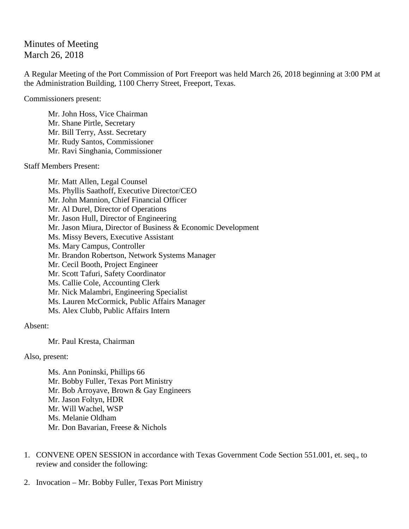## Minutes of Meeting March 26, 2018

A Regular Meeting of the Port Commission of Port Freeport was held March 26, 2018 beginning at 3:00 PM at the Administration Building, 1100 Cherry Street, Freeport, Texas.

Commissioners present:

Mr. John Hoss, Vice Chairman Mr. Shane Pirtle, Secretary Mr. Bill Terry, Asst. Secretary Mr. Rudy Santos, Commissioner Mr. Ravi Singhania, Commissioner

Staff Members Present:

Mr. Matt Allen, Legal Counsel Ms. Phyllis Saathoff, Executive Director/CEO Mr. John Mannion, Chief Financial Officer Mr. Al Durel, Director of Operations Mr. Jason Hull, Director of Engineering Mr. Jason Miura, Director of Business & Economic Development Ms. Missy Bevers, Executive Assistant Ms. Mary Campus, Controller Mr. Brandon Robertson, Network Systems Manager Mr. Cecil Booth, Project Engineer Mr. Scott Tafuri, Safety Coordinator Ms. Callie Cole, Accounting Clerk Mr. Nick Malambri, Engineering Specialist Ms. Lauren McCormick, Public Affairs Manager Ms. Alex Clubb, Public Affairs Intern

## Absent:

Mr. Paul Kresta, Chairman

Also, present:

Ms. Ann Poninski, Phillips 66 Mr. Bobby Fuller, Texas Port Ministry Mr. Bob Arroyave, Brown & Gay Engineers Mr. Jason Foltyn, HDR Mr. Will Wachel, WSP Ms. Melanie Oldham Mr. Don Bavarian, Freese & Nichols

- 1. CONVENE OPEN SESSION in accordance with Texas Government Code Section 551.001, et. seq., to review and consider the following:
- 2. Invocation Mr. Bobby Fuller, Texas Port Ministry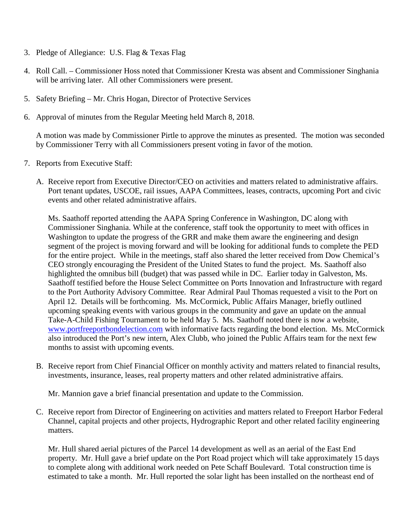- 3. Pledge of Allegiance: U.S. Flag & Texas Flag
- 4. Roll Call. Commissioner Hoss noted that Commissioner Kresta was absent and Commissioner Singhania will be arriving later. All other Commissioners were present.
- 5. Safety Briefing Mr. Chris Hogan, Director of Protective Services
- 6. Approval of minutes from the Regular Meeting held March 8, 2018.

A motion was made by Commissioner Pirtle to approve the minutes as presented. The motion was seconded by Commissioner Terry with all Commissioners present voting in favor of the motion.

- 7. Reports from Executive Staff:
	- A. Receive report from Executive Director/CEO on activities and matters related to administrative affairs. Port tenant updates, USCOE, rail issues, AAPA Committees, leases, contracts, upcoming Port and civic events and other related administrative affairs.

Ms. Saathoff reported attending the AAPA Spring Conference in Washington, DC along with Commissioner Singhania. While at the conference, staff took the opportunity to meet with offices in Washington to update the progress of the GRR and make them aware the engineering and design segment of the project is moving forward and will be looking for additional funds to complete the PED for the entire project. While in the meetings, staff also shared the letter received from Dow Chemical's CEO strongly encouraging the President of the United States to fund the project. Ms. Saathoff also highlighted the omnibus bill (budget) that was passed while in DC. Earlier today in Galveston, Ms. Saathoff testified before the House Select Committee on Ports Innovation and Infrastructure with regard to the Port Authority Advisory Committee. Rear Admiral Paul Thomas requested a visit to the Port on April 12. Details will be forthcoming. Ms. McCormick, Public Affairs Manager, briefly outlined upcoming speaking events with various groups in the community and gave an update on the annual Take-A-Child Fishing Tournament to be held May 5. Ms. Saathoff noted there is now a website, [www.portfreeportbondelection.com](http://www.portfreeportbondelection.com/) with informative facts regarding the bond election. Ms. McCormick also introduced the Port's new intern, Alex Clubb, who joined the Public Affairs team for the next few months to assist with upcoming events.

B. Receive report from Chief Financial Officer on monthly activity and matters related to financial results, investments, insurance, leases, real property matters and other related administrative affairs.

Mr. Mannion gave a brief financial presentation and update to the Commission.

C. Receive report from Director of Engineering on activities and matters related to Freeport Harbor Federal Channel, capital projects and other projects, Hydrographic Report and other related facility engineering matters.

Mr. Hull shared aerial pictures of the Parcel 14 development as well as an aerial of the East End property. Mr. Hull gave a brief update on the Port Road project which will take approximately 15 days to complete along with additional work needed on Pete Schaff Boulevard. Total construction time is estimated to take a month. Mr. Hull reported the solar light has been installed on the northeast end of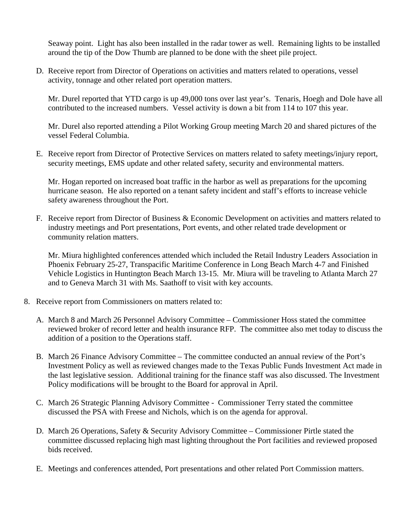Seaway point. Light has also been installed in the radar tower as well. Remaining lights to be installed around the tip of the Dow Thumb are planned to be done with the sheet pile project.

D. Receive report from Director of Operations on activities and matters related to operations, vessel activity, tonnage and other related port operation matters.

Mr. Durel reported that YTD cargo is up 49,000 tons over last year's. Tenaris, Hoegh and Dole have all contributed to the increased numbers. Vessel activity is down a bit from 114 to 107 this year.

Mr. Durel also reported attending a Pilot Working Group meeting March 20 and shared pictures of the vessel Federal Columbia.

E. Receive report from Director of Protective Services on matters related to safety meetings/injury report, security meetings, EMS update and other related safety, security and environmental matters.

Mr. Hogan reported on increased boat traffic in the harbor as well as preparations for the upcoming hurricane season. He also reported on a tenant safety incident and staff's efforts to increase vehicle safety awareness throughout the Port.

F. Receive report from Director of Business & Economic Development on activities and matters related to industry meetings and Port presentations, Port events, and other related trade development or community relation matters.

Mr. Miura highlighted conferences attended which included the Retail Industry Leaders Association in Phoenix February 25-27, Transpacific Maritime Conference in Long Beach March 4-7 and Finished Vehicle Logistics in Huntington Beach March 13-15. Mr. Miura will be traveling to Atlanta March 27 and to Geneva March 31 with Ms. Saathoff to visit with key accounts.

- 8. Receive report from Commissioners on matters related to:
	- A. March 8 and March 26 Personnel Advisory Committee Commissioner Hoss stated the committee reviewed broker of record letter and health insurance RFP. The committee also met today to discuss the addition of a position to the Operations staff.
	- B. March 26 Finance Advisory Committee The committee conducted an annual review of the Port's Investment Policy as well as reviewed changes made to the Texas Public Funds Investment Act made in the last legislative session. Additional training for the finance staff was also discussed. The Investment Policy modifications will be brought to the Board for approval in April.
	- C. March 26 Strategic Planning Advisory Committee Commissioner Terry stated the committee discussed the PSA with Freese and Nichols, which is on the agenda for approval.
	- D. March 26 Operations, Safety & Security Advisory Committee Commissioner Pirtle stated the committee discussed replacing high mast lighting throughout the Port facilities and reviewed proposed bids received.
	- E. Meetings and conferences attended, Port presentations and other related Port Commission matters.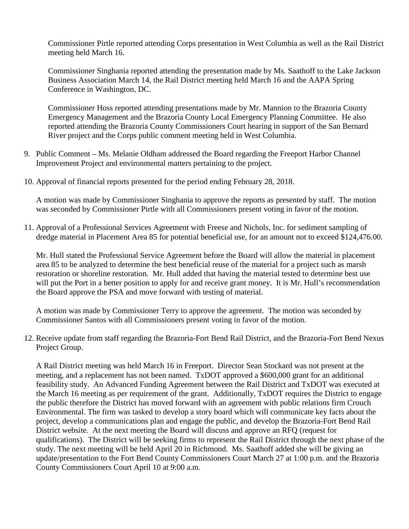Commissioner Pirtle reported attending Corps presentation in West Columbia as well as the Rail District meeting held March 16.

Commissioner Singhania reported attending the presentation made by Ms. Saathoff to the Lake Jackson Business Association March 14, the Rail District meeting held March 16 and the AAPA Spring Conference in Washington, DC.

Commissioner Hoss reported attending presentations made by Mr. Mannion to the Brazoria County Emergency Management and the Brazoria County Local Emergency Planning Committee. He also reported attending the Brazoria County Commissioners Court hearing in support of the San Bernard River project and the Corps public comment meeting held in West Columbia.

- 9. Public Comment Ms. Melanie Oldham addressed the Board regarding the Freeport Harbor Channel Improvement Project and environmental matters pertaining to the project.
- 10. Approval of financial reports presented for the period ending February 28, 2018.

A motion was made by Commissioner Singhania to approve the reports as presented by staff. The motion was seconded by Commissioner Pirtle with all Commissioners present voting in favor of the motion.

11. Approval of a Professional Services Agreement with Freese and Nichols, Inc. for sediment sampling of dredge material in Placement Area 85 for potential beneficial use, for an amount not to exceed \$124,476.00.

Mr. Hull stated the Professional Service Agreement before the Board will allow the material in placement area 85 to be analyzed to determine the best beneficial reuse of the material for a project such as marsh restoration or shoreline restoration. Mr. Hull added that having the material tested to determine best use will put the Port in a better position to apply for and receive grant money. It is Mr. Hull's recommendation the Board approve the PSA and move forward with testing of material.

A motion was made by Commissioner Terry to approve the agreement. The motion was seconded by Commissioner Santos with all Commissioners present voting in favor of the motion.

12. Receive update from staff regarding the Brazoria-Fort Bend Rail District, and the Brazoria-Fort Bend Nexus Project Group.

A Rail District meeting was held March 16 in Freeport. Director Sean Stockard was not present at the meeting, and a replacement has not been named. TxDOT approved a \$600,000 grant for an additional feasibility study. An Advanced Funding Agreement between the Rail District and TxDOT was executed at the March 16 meeting as per requirement of the grant. Additionally, TxDOT requires the District to engage the public therefore the District has moved forward with an agreement with public relations firm Crouch Environmental. The firm was tasked to develop a story board which will communicate key facts about the project, develop a communications plan and engage the public, and develop the Brazoria-Fort Bend Rail District website. At the next meeting the Board will discuss and approve an RFQ (request for qualifications). The District will be seeking firms to represent the Rail District through the next phase of the study. The next meeting will be held April 20 in Richmond. Ms. Saathoff added she will be giving an update/presentation to the Fort Bend County Commissioners Court March 27 at 1:00 p.m. and the Brazoria County Commissioners Court April 10 at 9:00 a.m.